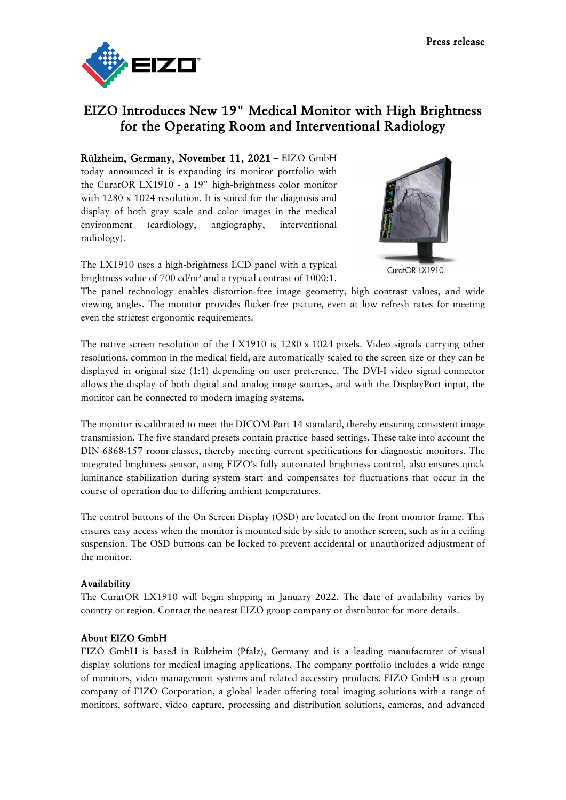

## EIZO Introduces New 19" Medical Monitor with High Brightness for the Operating Room and Interventional Radiology

Rülzheim, Germany, November 11, 2021 – EIZO GmbH today announced it is expanding its monitor portfolio with the CuratOR LX1910 - a 19" high-brightness color monitor with 1280 x 1024 resolution. It is suited for the diagnosis and display of both gray scale and color images in the medical environment (cardiology, angiography, interventional radiology).



The LX1910 uses a high-brightness LCD panel with a typical brightness value of 700 cd/m² and a typical contrast of 1000:1.

The panel technology enables distortion-free image geometry, high contrast values, and wide viewing angles. The monitor provides flicker-free picture, even at low refresh rates for meeting even the strictest ergonomic requirements.

The native screen resolution of the LX1910 is 1280 x 1024 pixels. Video signals carrying other resolutions, common in the medical field, are automatically scaled to the screen size or they can be displayed in original size (1:1) depending on user preference. The DVI-I video signal connector allows the display of both digital and analog image sources, and with the DisplayPort input, the monitor can be connected to modern imaging systems.

The monitor is calibrated to meet the DICOM Part 14 standard, thereby ensuring consistent image transmission. The five standard presets contain practice-based settings. These take into account the DIN 6868-157 room classes, thereby meeting current specifications for diagnostic monitors. The integrated brightness sensor, using EIZO's fully automated brightness control, also ensures quick luminance stabilization during system start and compensates for fluctuations that occur in the course of operation due to differing ambient temperatures.

The control buttons of the On Screen Display (OSD) are located on the front monitor frame. This ensures easy access when the monitor is mounted side by side to another screen, such as in a ceiling suspension. The OSD buttons can be locked to prevent accidental or unauthorized adjustment of the monitor.

## Availability

The CuratOR LX1910 will begin shipping in January 2022. The date of availability varies by country or region. Contact the nearest EIZO group company or distributor for more details.

## About EIZO GmbH

EIZO GmbH is based in Rülzheim (Pfalz), Germany and is a leading manufacturer of visual display solutions for medical imaging applications. The company portfolio includes a wide range of monitors, video management systems and related accessory products. EIZO GmbH is a group company of EIZO Corporation, a global leader offering total imaging solutions with a range of monitors, software, video capture, processing and distribution solutions, cameras, and advanced